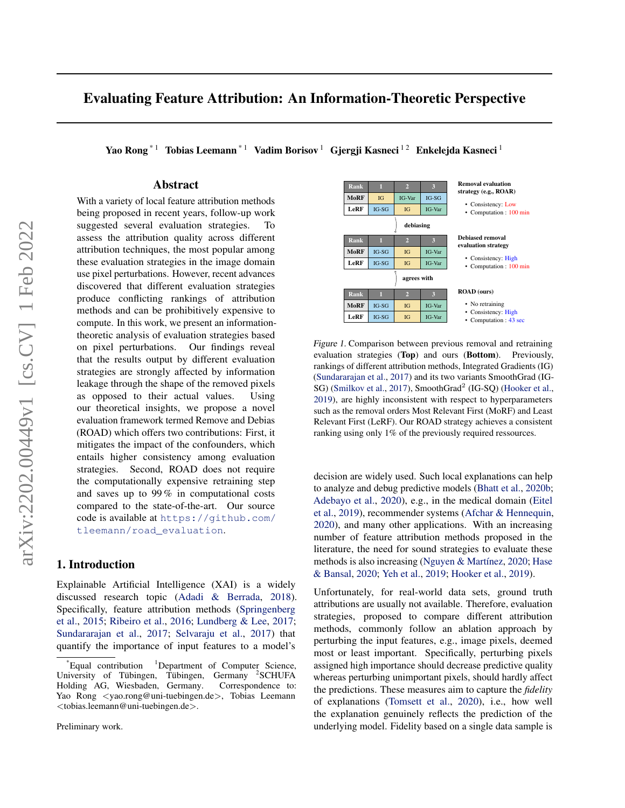# Evaluating Feature Attribution: An Information-Theoretic Perspective

Yao Rong<sup>\*1</sup> Tobias Leemann<sup>\*1</sup> Vadim Borisov<sup>1</sup> Gjergji Kasneci<sup>12</sup> Enkelejda Kasneci<sup>1</sup>

### Abstract

With a variety of local feature attribution methods being proposed in recent years, follow-up work suggested several evaluation strategies. To assess the attribution quality across different attribution techniques, the most popular among these evaluation strategies in the image domain use pixel perturbations. However, recent advances discovered that different evaluation strategies produce conflicting rankings of attribution methods and can be prohibitively expensive to compute. In this work, we present an informationtheoretic analysis of evaluation strategies based on pixel perturbations. Our findings reveal that the results output by different evaluation strategies are strongly affected by information leakage through the shape of the removed pixels as opposed to their actual values. Using our theoretical insights, we propose a novel evaluation framework termed Remove and Debias (ROAD) which offers two contributions: First, it mitigates the impact of the confounders, which entails higher consistency among evaluation strategies. Second, ROAD does not require the computationally expensive retraining step and saves up to 99 % in computational costs compared to the state-of-the-art. Our source code is available at [https://github.com/](https://github.com/tleemann/road_evaluation) [tleemann/road\\_evaluation](https://github.com/tleemann/road_evaluation).

### 1. Introduction

Explainable Artificial Intelligence (XAI) is a widely discussed research topic [\(Adadi & Berrada,](#page-8-0) [2018\)](#page-8-0). Specifically, feature attribution methods [\(Springenberg](#page-9-0) [et al.,](#page-9-0) [2015;](#page-9-0) [Ribeiro et al.,](#page-9-1) [2016;](#page-9-1) [Lundberg & Lee,](#page-9-2) [2017;](#page-9-2) [Sundararajan et al.,](#page-9-3) [2017;](#page-9-3) [Selvaraju et al.,](#page-9-4) [2017\)](#page-9-4) that quantify the importance of input features to a model's

Preliminary work.

<span id="page-0-0"></span>

Figure 1. Comparison between previous removal and retraining evaluation strategies (Top) and ours (Bottom). Previously, rankings of different attribution methods, Integrated Gradients (IG) [\(Sundararajan et al.,](#page-9-3) [2017\)](#page-9-3) and its two variants SmoothGrad (IG-SG) [\(Smilkov et al.,](#page-9-5) [2017\)](#page-9-5), SmoothGrad<sup>2</sup> (IG-SQ) [\(Hooker et al.,](#page-8-1) [2019\)](#page-8-1), are highly inconsistent with respect to hyperparameters such as the removal orders Most Relevant First (MoRF) and Least Relevant First (LeRF). Our ROAD strategy achieves a consistent ranking using only 1% of the previously required ressources.

decision are widely used. Such local explanations can help to analyze and debug predictive models [\(Bhatt et al.,](#page-8-2) [2020b;](#page-8-2) [Adebayo et al.,](#page-8-3) [2020\)](#page-8-3), e.g., in the medical domain [\(Eitel](#page-8-4) [et al.,](#page-8-4) [2019\)](#page-8-4), recommender systems [\(Afchar & Hennequin,](#page-8-5) [2020\)](#page-8-5), and many other applications. With an increasing number of feature attribution methods proposed in the literature, the need for sound strategies to evaluate these methods is also increasing (Nguyen & Martínez, [2020;](#page-9-6) [Hase](#page-8-6) [& Bansal,](#page-8-6) [2020;](#page-8-6) [Yeh et al.,](#page-10-0) [2019;](#page-10-0) [Hooker et al.,](#page-8-1) [2019\)](#page-8-1).

Unfortunately, for real-world data sets, ground truth attributions are usually not available. Therefore, evaluation strategies, proposed to compare different attribution methods, commonly follow an ablation approach by perturbing the input features, e.g., image pixels, deemed most or least important. Specifically, perturbing pixels assigned high importance should decrease predictive quality whereas perturbing unimportant pixels, should hardly affect the predictions. These measures aim to capture the *fidelity* of explanations [\(Tomsett et al.,](#page-9-7) [2020\)](#page-9-7), i.e., how well the explanation genuinely reflects the prediction of the underlying model. Fidelity based on a single data sample is

Equal contribution  $1$ Department of Computer Science, University of Tübingen, Tübingen, Germany <sup>2</sup>SCHUFA Holding AG, Wiesbaden, Germany. Correspondence to: Yao Rong <yao.rong@uni-tuebingen.de>, Tobias Leemann <tobias.leemann@uni-tuebingen.de>.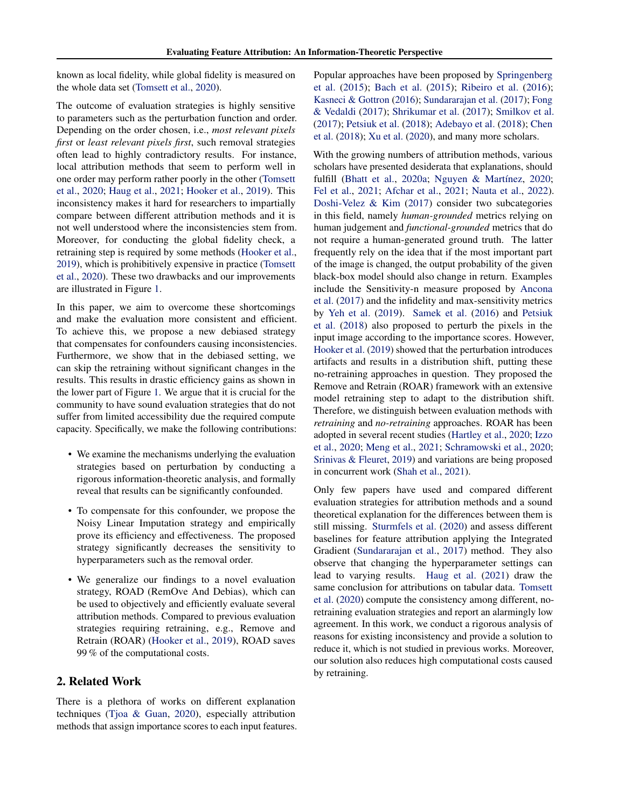known as local fidelity, while global fidelity is measured on the whole data set [\(Tomsett et al.,](#page-9-7) [2020\)](#page-9-7).

The outcome of evaluation strategies is highly sensitive to parameters such as the perturbation function and order. Depending on the order chosen, i.e., *most relevant pixels first* or *least relevant pixels first*, such removal strategies often lead to highly contradictory results. For instance, local attribution methods that seem to perform well in one order may perform rather poorly in the other [\(Tomsett](#page-9-7) [et al.,](#page-9-7) [2020;](#page-9-7) [Haug et al.,](#page-8-7) [2021;](#page-8-7) [Hooker et al.,](#page-8-1) [2019\)](#page-8-1). This inconsistency makes it hard for researchers to impartially compare between different attribution methods and it is not well understood where the inconsistencies stem from. Moreover, for conducting the global fidelity check, a retraining step is required by some methods [\(Hooker et al.,](#page-8-1) [2019\)](#page-8-1), which is prohibitively expensive in practice [\(Tomsett](#page-9-7) [et al.,](#page-9-7) [2020\)](#page-9-7). These two drawbacks and our improvements are illustrated in Figure [1.](#page-0-0)

In this paper, we aim to overcome these shortcomings and make the evaluation more consistent and efficient. To achieve this, we propose a new debiased strategy that compensates for confounders causing inconsistencies. Furthermore, we show that in the debiased setting, we can skip the retraining without significant changes in the results. This results in drastic efficiency gains as shown in the lower part of Figure [1.](#page-0-0) We argue that it is crucial for the community to have sound evaluation strategies that do not suffer from limited accessibility due the required compute capacity. Specifically, we make the following contributions:

- We examine the mechanisms underlying the evaluation strategies based on perturbation by conducting a rigorous information-theoretic analysis, and formally reveal that results can be significantly confounded.
- To compensate for this confounder, we propose the Noisy Linear Imputation strategy and empirically prove its efficiency and effectiveness. The proposed strategy significantly decreases the sensitivity to hyperparameters such as the removal order.
- We generalize our findings to a novel evaluation strategy, ROAD (RemOve And Debias), which can be used to objectively and efficiently evaluate several attribution methods. Compared to previous evaluation strategies requiring retraining, e.g., Remove and Retrain (ROAR) [\(Hooker et al.,](#page-8-1) [2019\)](#page-8-1), ROAD saves 99 % of the computational costs.

### 2. Related Work

There is a plethora of works on different explanation techniques [\(Tjoa & Guan,](#page-9-8) [2020\)](#page-9-8), especially attribution methods that assign importance scores to each input features. Popular approaches have been proposed by [Springenberg](#page-9-0) [et al.](#page-9-0) [\(2015\)](#page-9-0); [Bach et al.](#page-8-8) [\(2015\)](#page-8-8); [Ribeiro et al.](#page-9-1) [\(2016\)](#page-9-1); [Kasneci & Gottron](#page-9-9) [\(2016\)](#page-9-9); [Sundararajan et al.](#page-9-3) [\(2017\)](#page-9-3); [Fong](#page-8-9) [& Vedaldi](#page-8-9) [\(2017\)](#page-8-9); [Shrikumar et al.](#page-9-10) [\(2017\)](#page-9-10); [Smilkov et al.](#page-9-5) [\(2017\)](#page-9-5); [Petsiuk et al.](#page-9-11) [\(2018\)](#page-9-11); [Adebayo et al.](#page-8-10) [\(2018\)](#page-8-10); [Chen](#page-8-11) [et al.](#page-8-11) [\(2018\)](#page-8-11); [Xu et al.](#page-10-1) [\(2020\)](#page-10-1), and many more scholars.

With the growing numbers of attribution methods, various scholars have presented desiderata that explanations, should fulfill [\(Bhatt et al.,](#page-8-12) [2020a;](#page-8-12) Nguyen & Martínez, [2020;](#page-9-6) [Fel et al.,](#page-8-13) [2021;](#page-8-13) [Afchar et al.,](#page-8-14) [2021;](#page-8-14) [Nauta et al.,](#page-9-12) [2022\)](#page-9-12). [Doshi-Velez & Kim](#page-8-15) [\(2017\)](#page-8-15) consider two subcategories in this field, namely *human-grounded* metrics relying on human judgement and *functional-grounded* metrics that do not require a human-generated ground truth. The latter frequently rely on the idea that if the most important part of the image is changed, the output probability of the given black-box model should also change in return. Examples include the Sensitivity-n measure proposed by [Ancona](#page-8-16) [et al.](#page-8-16) [\(2017\)](#page-8-16) and the infidelity and max-sensitivity metrics by [Yeh et al.](#page-10-0) [\(2019\)](#page-10-0). [Samek et al.](#page-9-13) [\(2016\)](#page-9-13) and [Petsiuk](#page-9-11) [et al.](#page-9-11) [\(2018\)](#page-9-11) also proposed to perturb the pixels in the input image according to the importance scores. However, [Hooker et al.](#page-8-1) [\(2019\)](#page-8-1) showed that the perturbation introduces artifacts and results in a distribution shift, putting these no-retraining approaches in question. They proposed the Remove and Retrain (ROAR) framework with an extensive model retraining step to adapt to the distribution shift. Therefore, we distinguish between evaluation methods with *retraining* and *no-retraining* approaches. ROAR has been adopted in several recent studies [\(Hartley et al.,](#page-8-17) [2020;](#page-8-17) [Izzo](#page-9-14) [et al.,](#page-9-14) [2020;](#page-9-14) [Meng et al.,](#page-9-15) [2021;](#page-9-15) [Schramowski et al.,](#page-9-16) [2020;](#page-9-16) [Srinivas & Fleuret,](#page-9-17) [2019\)](#page-9-17) and variations are being proposed in concurrent work [\(Shah et al.,](#page-9-18) [2021\)](#page-9-18).

Only few papers have used and compared different evaluation strategies for attribution methods and a sound theoretical explanation for the differences between them is still missing. [Sturmfels et al.](#page-9-19) [\(2020\)](#page-9-19) and assess different baselines for feature attribution applying the Integrated Gradient [\(Sundararajan et al.,](#page-9-3) [2017\)](#page-9-3) method. They also observe that changing the hyperparameter settings can lead to varying results. [Haug et al.](#page-8-7) [\(2021\)](#page-8-7) draw the same conclusion for attributions on tabular data. [Tomsett](#page-9-7) [et al.](#page-9-7) [\(2020\)](#page-9-7) compute the consistency among different, noretraining evaluation strategies and report an alarmingly low agreement. In this work, we conduct a rigorous analysis of reasons for existing inconsistency and provide a solution to reduce it, which is not studied in previous works. Moreover, our solution also reduces high computational costs caused by retraining.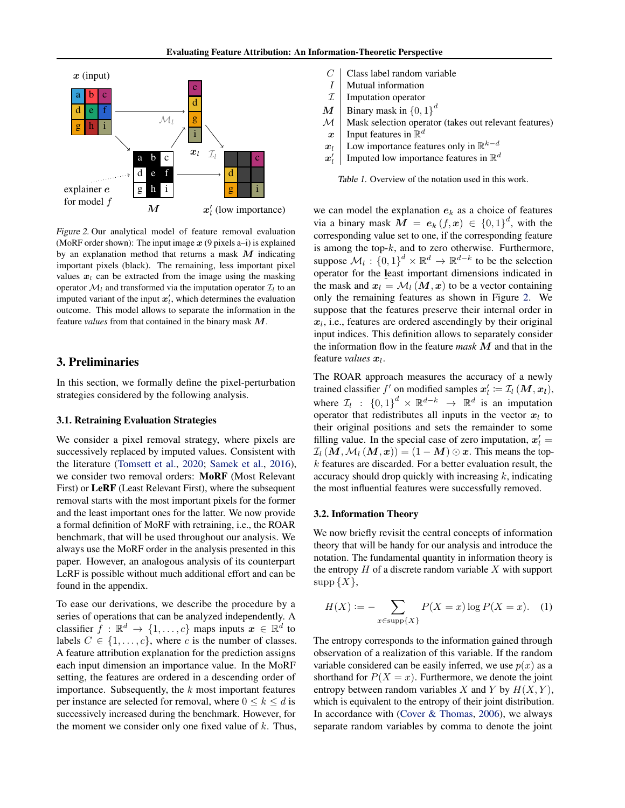<span id="page-2-0"></span>

Figure 2. Our analytical model of feature removal evaluation (MoRF order shown): The input image  $x$  (9 pixels a–i) is explained by an explanation method that returns a mask  $M$  indicating important pixels (black). The remaining, less important pixel values  $x_l$  can be extracted from the image using the masking operator  $\mathcal{M}_l$  and transformed via the imputation operator  $\mathcal{I}_l$  to an imputed variant of the input  $x'_{l}$ , which determines the evaluation outcome. This model allows to separate the information in the feature *values* from that contained in the binary mask M.

### 3. Preliminaries

In this section, we formally define the pixel-perturbation strategies considered by the following analysis.

### 3.1. Retraining Evaluation Strategies

We consider a pixel removal strategy, where pixels are successively replaced by imputed values. Consistent with the literature [\(Tomsett et al.,](#page-9-7) [2020;](#page-9-7) [Samek et al.,](#page-9-13) [2016\)](#page-9-13), we consider two removal orders: MoRF (Most Relevant First) or LeRF (Least Relevant First), where the subsequent removal starts with the most important pixels for the former and the least important ones for the latter. We now provide a formal definition of MoRF with retraining, i.e., the ROAR benchmark, that will be used throughout our analysis. We always use the MoRF order in the analysis presented in this paper. However, an analogous analysis of its counterpart LeRF is possible without much additional effort and can be found in the appendix.

To ease our derivations, we describe the procedure by a series of operations that can be analyzed independently. A classifier  $f : \mathbb{R}^d \to \{1, \ldots, c\}$  maps inputs  $x \in \mathbb{R}^d$  to labels  $C \in \{1, \ldots, c\}$ , where c is the number of classes. A feature attribution explanation for the prediction assigns each input dimension an importance value. In the MoRF setting, the features are ordered in a descending order of importance. Subsequently, the  $k$  most important features per instance are selected for removal, where  $0 \le k \le d$  is successively increased during the benchmark. However, for the moment we consider only one fixed value of  $k$ . Thus,

- <span id="page-2-1"></span> $C \mid$  Class label random variable
- $I \parallel$  Mutual information
- $\mathcal{I}$  Imputation operator<br> $\mathcal{M}$  Binary mask in {0,1}
- $\boldsymbol{M} \parallel$  Binary mask in  $\{0,1\}^d$
- $\mathcal{M}$  Mask selection operator (takes out relevant features)<br>  $\mathbf{x}$  Input features in  $\mathbb{R}^d$
- $x \parallel$  Input features in  $\mathbb{R}^d$
- $x_l$  Low importance features only in  $\mathbb{R}^{k-d}$
- $\boldsymbol{x}'_l$ Imputed low importance features in  $\mathbb{R}^d$

Table 1. Overview of the notation used in this work.

we can model the explanation  $e_k$  as a choice of features via a binary mask  $M = e_k(f, x) \in \{0, 1\}^d$ , with the corresponding value set to one, if the corresponding feature is among the top- $k$ , and to zero otherwise. Furthermore, suppose  $\mathcal{M}_l$ :  $\{0,1\}^d \times \mathbb{R}^d \to \mathbb{R}^{d-k}$  to be the selection operator for the least important dimensions indicated in the mask and  $x_l = \mathcal{M}_l (M, x)$  to be a vector containing only the remaining features as shown in Figure [2.](#page-2-0) We suppose that the features preserve their internal order in  $x_l$ , i.e., features are ordered ascendingly by their original input indices. This definition allows to separately consider the information flow in the feature *mask* M and that in the feature *values*  $x_l$ .

The ROAR approach measures the accuracy of a newly trained classifier  $f'$  on modified samples  $x'_l := \mathcal{I}_l(M, x_l)$ , where  $\mathcal{I}_l$  :  $\{0,1\}^d \times \mathbb{R}^{d-k} \rightarrow \mathbb{R}^d$  is an imputation operator that redistributes all inputs in the vector  $x_l$  to their original positions and sets the remainder to some filling value. In the special case of zero imputation,  $x'_l =$  $\mathcal{I}_l(M,\mathcal{M}_l(M,\boldsymbol{x}))=(1-M)\odot\boldsymbol{x}$ . This means the topk features are discarded. For a better evaluation result, the accuracy should drop quickly with increasing  $k$ , indicating the most influential features were successfully removed.

#### 3.2. Information Theory

We now briefly revisit the central concepts of information theory that will be handy for our analysis and introduce the notation. The fundamental quantity in information theory is the entropy  $H$  of a discrete random variable  $X$  with support  $supp \{X\},\$ 

$$
H(X) := -\sum_{x \in \text{supp}\{X\}} P(X = x) \log P(X = x). \quad (1)
$$

The entropy corresponds to the information gained through observation of a realization of this variable. If the random variable considered can be easily inferred, we use  $p(x)$  as a shorthand for  $P(X = x)$ . Furthermore, we denote the joint entropy between random variables X and Y by  $H(X, Y)$ , which is equivalent to the entropy of their joint distribution. In accordance with [\(Cover & Thomas,](#page-8-18) [2006\)](#page-8-18), we always separate random variables by comma to denote the joint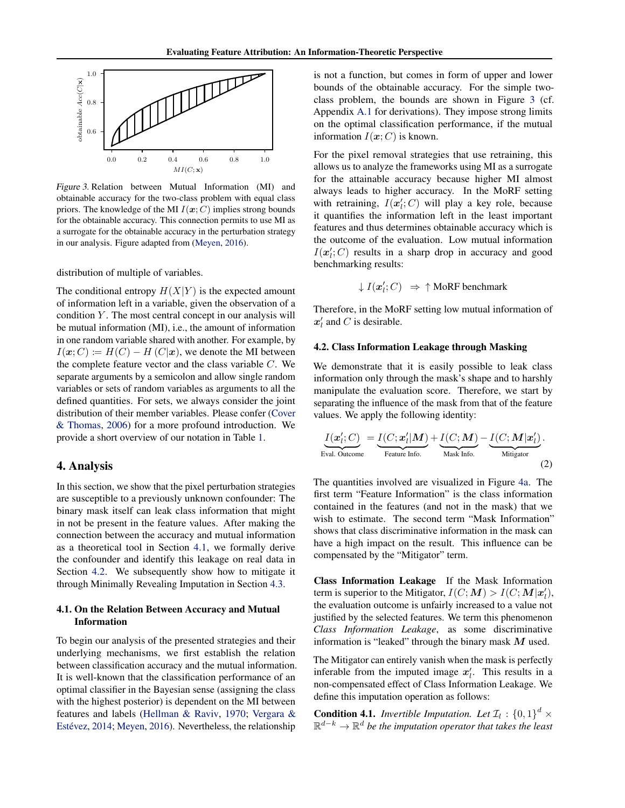<span id="page-3-2"></span>

Figure 3. Relation between Mutual Information (MI) and obtainable accuracy for the two-class problem with equal class priors. The knowledge of the MI  $I(\mathbf{x}; C)$  implies strong bounds for the obtainable accuracy. This connection permits to use MI as a surrogate for the obtainable accuracy in the perturbation strategy in our analysis. Figure adapted from [\(Meyen,](#page-9-20) [2016\)](#page-9-20).

distribution of multiple of variables.

The conditional entropy  $H(X|Y)$  is the expected amount of information left in a variable, given the observation of a condition  $Y$ . The most central concept in our analysis will be mutual information (MI), i.e., the amount of information in one random variable shared with another. For example, by  $I(\boldsymbol{x}; C) \coloneqq H(C) - H(C|\boldsymbol{x})$ , we denote the MI between the complete feature vector and the class variable  $C$ . We separate arguments by a semicolon and allow single random variables or sets of random variables as arguments to all the defined quantities. For sets, we always consider the joint distribution of their member variables. Please confer [\(Cover](#page-8-18) [& Thomas,](#page-8-18) [2006\)](#page-8-18) for a more profound introduction. We provide a short overview of our notation in Table [1.](#page-2-1)

### 4. Analysis

In this section, we show that the pixel perturbation strategies are susceptible to a previously unknown confounder: The binary mask itself can leak class information that might in not be present in the feature values. After making the connection between the accuracy and mutual information as a theoretical tool in Section [4.1,](#page-3-0) we formally derive the confounder and identify this leakage on real data in Section [4.2.](#page-3-1) We subsequently show how to mitigate it through Minimally Revealing Imputation in Section [4.3.](#page-4-0)

#### <span id="page-3-0"></span>4.1. On the Relation Between Accuracy and Mutual Information

To begin our analysis of the presented strategies and their underlying mechanisms, we first establish the relation between classification accuracy and the mutual information. It is well-known that the classification performance of an optimal classifier in the Bayesian sense (assigning the class with the highest posterior) is dependent on the MI between features and labels [\(Hellman & Raviv,](#page-8-19) [1970;](#page-8-19) [Vergara &](#page-9-21) Estévez, [2014;](#page-9-21) [Meyen,](#page-9-20) [2016\)](#page-9-20). Nevertheless, the relationship

is not a function, but comes in form of upper and lower bounds of the obtainable accuracy. For the simple twoclass problem, the bounds are shown in Figure [3](#page-3-2) (cf. Appendix [A.1](#page-11-0) for derivations). They impose strong limits on the optimal classification performance, if the mutual information  $I(\mathbf{x}; C)$  is known.

For the pixel removal strategies that use retraining, this allows us to analyze the frameworks using MI as a surrogate for the attainable accuracy because higher MI almost always leads to higher accuracy. In the MoRF setting with retraining,  $I(\mathbf{x}_i'; C)$  will play a key role, because it quantifies the information left in the least important features and thus determines obtainable accuracy which is the outcome of the evaluation. Low mutual information  $I(\boldsymbol{x}'_l;C)$  results in a sharp drop in accuracy and good benchmarking results:

$$
\downarrow I(\mathbf{x}'_l; C) \Rightarrow \uparrow \text{MoRF benchmark}
$$

Therefore, in the MoRF setting low mutual information of  $x'_l$  and C is desirable.

#### <span id="page-3-1"></span>4.2. Class Information Leakage through Masking

We demonstrate that it is easily possible to leak class information only through the mask's shape and to harshly manipulate the evaluation score. Therefore, we start by separating the influence of the mask from that of the feature values. We apply the following identity:

$$
\underbrace{I(\mathbf{x}'_l; C)}_{\text{Eval. Outcome}} = \underbrace{I(C; \mathbf{x}'_l | \mathbf{M})}_{\text{Feature Info.}} + \underbrace{I(C; \mathbf{M})}_{\text{Mask Info.}} - \underbrace{I(C; \mathbf{M} | \mathbf{x}'_l)}_{\text{Mitigation}}.
$$
\n(2)

The quantities involved are visualized in Figure [4a.](#page-4-1) The first term "Feature Information" is the class information contained in the features (and not in the mask) that we wish to estimate. The second term "Mask Information" shows that class discriminative information in the mask can have a high impact on the result. This influence can be compensated by the "Mitigator" term.

Class Information Leakage If the Mask Information term is superior to the Mitigator,  $I(C; M) > I(C; M | x'_{l}),$ the evaluation outcome is unfairly increased to a value not justified by the selected features. We term this phenomenon *Class Information Leakage*, as some discriminative information is "leaked" through the binary mask  $M$  used.

The Mitigator can entirely vanish when the mask is perfectly inferable from the imputed image  $x'_i$ . This results in a non-compensated effect of Class Information Leakage. We define this imputation operation as follows:

**Condition 4.1.** *Invertible Imputation. Let*  $\mathcal{I}_l$  :  $\{0,1\}^d$  × R <sup>d</sup>−<sup>k</sup> <sup>→</sup> <sup>R</sup> <sup>d</sup> *be the imputation operator that takes the least*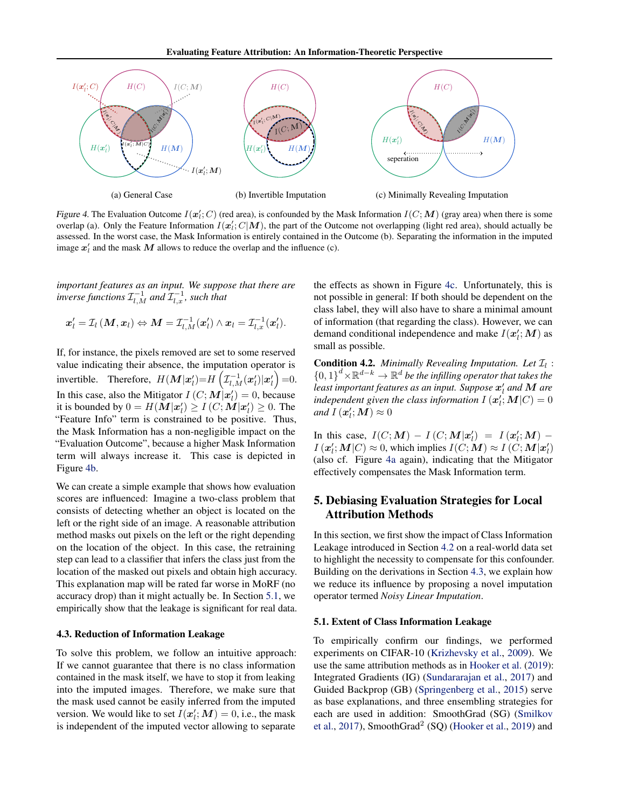Evaluating Feature Attribution: An Information-Theoretic Perspective

<span id="page-4-1"></span>

Figure 4. The Evaluation Outcome  $I(\mathbf{x}_i'; C)$  (red area), is confounded by the Mask Information  $I(C; \mathbf{M})$  (gray area) when there is some overlap (a). Only the Feature Information  $I(x'_i; C|M)$ , the part of the Outcome not overlapping (light red area), should actually be assessed. In the worst case, the Mask Information is entirely contained in the Outcome (b). Separating the information in the imputed image  $x'_i$  and the mask M allows to reduce the overlap and the influence (c).

*important features as an input. We suppose that there are* inverse functions  $\mathcal{I}_{l,M}^{-1}$  and  $\mathcal{I}_{l,x}^{-1}$ , such that

$$
\boldsymbol{x}_l' = \mathcal{I}_l\left(\boldsymbol{M}, \boldsymbol{x}_l\right) \Leftrightarrow \boldsymbol{M} = \mathcal{I}_{l,M}^{-1}(\boldsymbol{x}_l') \wedge \boldsymbol{x}_l = \mathcal{I}_{l,\boldsymbol{x}}^{-1}(\boldsymbol{x}_l').
$$

If, for instance, the pixels removed are set to some reserved value indicating their absence, the imputation operator is invertible. Therefore,  $H(\mathbf{M}|\mathbf{x}'_l) = H\left(\mathcal{I}_{l,M}^{-1}(\mathbf{x}'_l)|\mathbf{x}'_l\right) = 0.$ In this case, also the Mitigator  $I(C; M|\mathbf{x}_l') = 0$ , because it is bounded by  $0 = H(M|\mathbf{x}'_l) \ge I(C; \mathbf{M}|\mathbf{x}'_l) \ge 0$ . The "Feature Info" term is constrained to be positive. Thus, the Mask Information has a non-negligible impact on the "Evaluation Outcome", because a higher Mask Information term will always increase it. This case is depicted in Figure [4b.](#page-4-1)

We can create a simple example that shows how evaluation scores are influenced: Imagine a two-class problem that consists of detecting whether an object is located on the left or the right side of an image. A reasonable attribution method masks out pixels on the left or the right depending on the location of the object. In this case, the retraining step can lead to a classifier that infers the class just from the location of the masked out pixels and obtain high accuracy. This explanation map will be rated far worse in MoRF (no accuracy drop) than it might actually be. In Section [5.1,](#page-4-2) we empirically show that the leakage is significant for real data.

#### <span id="page-4-0"></span>4.3. Reduction of Information Leakage

To solve this problem, we follow an intuitive approach: If we cannot guarantee that there is no class information contained in the mask itself, we have to stop it from leaking into the imputed images. Therefore, we make sure that the mask used cannot be easily inferred from the imputed version. We would like to set  $I(\mathbf{x}'_i; \mathbf{M}) = 0$ , i.e., the mask is independent of the imputed vector allowing to separate

the effects as shown in Figure [4c.](#page-4-1) Unfortunately, this is not possible in general: If both should be dependent on the class label, they will also have to share a minimal amount of information (that regarding the class). However, we can demand conditional independence and make  $I(\mathbf{x}'_l; \mathbf{M})$  as small as possible.

**Condition 4.2.** *Minimally Revealing Imputation. Let*  $\mathcal{I}_l$  :  ${0,1}^d$  ×  $\mathbb{R}^{d-k}$   $\rightarrow$   $\mathbb{R}^d$  *be the infilling operator that takes the* least important features as an input. Suppose  $\boldsymbol{x}'_l$  and  $\boldsymbol{M}$  are independent given the class information  $I\left(\boldsymbol{x}_{l}^{\prime};\boldsymbol{M}|\boldsymbol{C}\right)=0$ *and*  $I(\boldsymbol{x}'_l; \boldsymbol{M}) \approx 0$ 

In this case,  $I(C; M) - I(C; M|x'_i) = I(x'_i; M) - I(x'_i; M)$  $I\left(\boldsymbol{x}_l^{\prime};\boldsymbol{M}|\boldsymbol{C}\right) \approx 0$ , which implies  $I(\boldsymbol{C};\boldsymbol{M}) \approx I\left(\boldsymbol{C};\boldsymbol{M}|\boldsymbol{x}_l^{\prime}\right)$ (also cf. Figure [4a](#page-4-1) again), indicating that the Mitigator effectively compensates the Mask Information term.

# 5. Debiasing Evaluation Strategies for Local Attribution Methods

In this section, we first show the impact of Class Information Leakage introduced in Section [4.2](#page-3-1) on a real-world data set to highlight the necessity to compensate for this confounder. Building on the derivations in Section [4.3,](#page-4-0) we explain how we reduce its influence by proposing a novel imputation operator termed *Noisy Linear Imputation*.

#### <span id="page-4-2"></span>5.1. Extent of Class Information Leakage

To empirically confirm our findings, we performed experiments on CIFAR-10 [\(Krizhevsky et al.,](#page-9-22) [2009\)](#page-9-22). We use the same attribution methods as in [Hooker et al.](#page-8-1) [\(2019\)](#page-8-1): Integrated Gradients (IG) [\(Sundararajan et al.,](#page-9-3) [2017\)](#page-9-3) and Guided Backprop (GB) [\(Springenberg et al.,](#page-9-0) [2015\)](#page-9-0) serve as base explanations, and three ensembling strategies for each are used in addition: SmoothGrad (SG) [\(Smilkov](#page-9-5) [et al.,](#page-9-5) [2017\)](#page-9-5), Smooth $Grad^2(SQ)$  [\(Hooker et al.,](#page-8-1) [2019\)](#page-8-1) and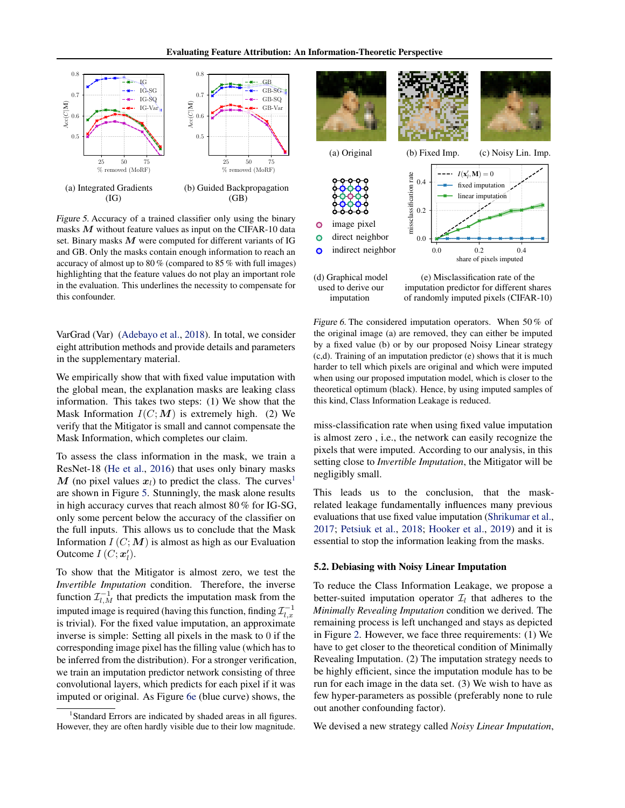<span id="page-5-1"></span>

Figure 5. Accuracy of a trained classifier only using the binary masks  $M$  without feature values as input on the CIFAR-10 data set. Binary masks  $M$  were computed for different variants of IG and GB. Only the masks contain enough information to reach an accuracy of almost up to 80 % (compared to 85 % with full images) highlighting that the feature values do not play an important role in the evaluation. This underlines the necessity to compensate for this confounder.

VarGrad (Var) [\(Adebayo et al.,](#page-8-10) [2018\)](#page-8-10). In total, we consider eight attribution methods and provide details and parameters in the supplementary material.

We empirically show that with fixed value imputation with the global mean, the explanation masks are leaking class information. This takes two steps: (1) We show that the Mask Information  $I(C; M)$  is extremely high. (2) We verify that the Mitigator is small and cannot compensate the Mask Information, which completes our claim.

To assess the class information in the mask, we train a ResNet-18 [\(He et al.,](#page-8-20) [2016\)](#page-8-20) that uses only binary masks M (no pixel values  $x_l$ ) to predict the class. The curves<sup>[1](#page-5-0)</sup> are shown in Figure [5.](#page-5-1) Stunningly, the mask alone results in high accuracy curves that reach almost 80 % for IG-SG, only some percent below the accuracy of the classifier on the full inputs. This allows us to conclude that the Mask Information  $I(C; M)$  is almost as high as our Evaluation Outcome  $I(C; x'_l)$ .

To show that the Mitigator is almost zero, we test the *Invertible Imputation* condition. Therefore, the inverse function  $\mathcal{I}_{l,M}^{-1}$  that predicts the imputation mask from the imputed image is required (having this function, finding  $\mathcal{I}_{l,x}^{-1}$ is trivial). For the fixed value imputation, an approximate inverse is simple: Setting all pixels in the mask to 0 if the corresponding image pixel has the filling value (which has to be inferred from the distribution). For a stronger verification, we train an imputation predictor network consisting of three convolutional layers, which predicts for each pixel if it was imputed or original. As Figure [6e](#page-5-2) (blue curve) shows, the

<span id="page-5-2"></span>

used to derive our imputation

(e) Misclassification rate of the imputation predictor for different shares of randomly imputed pixels (CIFAR-10)

Figure 6. The considered imputation operators. When 50% of the original image (a) are removed, they can either be imputed by a fixed value (b) or by our proposed Noisy Linear strategy (c,d). Training of an imputation predictor (e) shows that it is much harder to tell which pixels are original and which were imputed when using our proposed imputation model, which is closer to the theoretical optimum (black). Hence, by using imputed samples of this kind, Class Information Leakage is reduced.

miss-classification rate when using fixed value imputation is almost zero , i.e., the network can easily recognize the pixels that were imputed. According to our analysis, in this setting close to *Invertible Imputation*, the Mitigator will be negligibly small.

This leads us to the conclusion, that the maskrelated leakage fundamentally influences many previous evaluations that use fixed value imputation [\(Shrikumar et al.,](#page-9-10) [2017;](#page-9-10) [Petsiuk et al.,](#page-9-11) [2018;](#page-9-11) [Hooker et al.,](#page-8-1) [2019\)](#page-8-1) and it is essential to stop the information leaking from the masks.

#### 5.2. Debiasing with Noisy Linear Imputation

To reduce the Class Information Leakage, we propose a better-suited imputation operator  $\mathcal{I}_l$  that adheres to the *Minimally Revealing Imputation* condition we derived. The remaining process is left unchanged and stays as depicted in Figure [2.](#page-2-0) However, we face three requirements: (1) We have to get closer to the theoretical condition of Minimally Revealing Imputation. (2) The imputation strategy needs to be highly efficient, since the imputation module has to be run for each image in the data set. (3) We wish to have as few hyper-parameters as possible (preferably none to rule out another confounding factor).

We devised a new strategy called *Noisy Linear Imputation*,

<span id="page-5-0"></span><sup>&</sup>lt;sup>1</sup>Standard Errors are indicated by shaded areas in all figures. However, they are often hardly visible due to their low magnitude.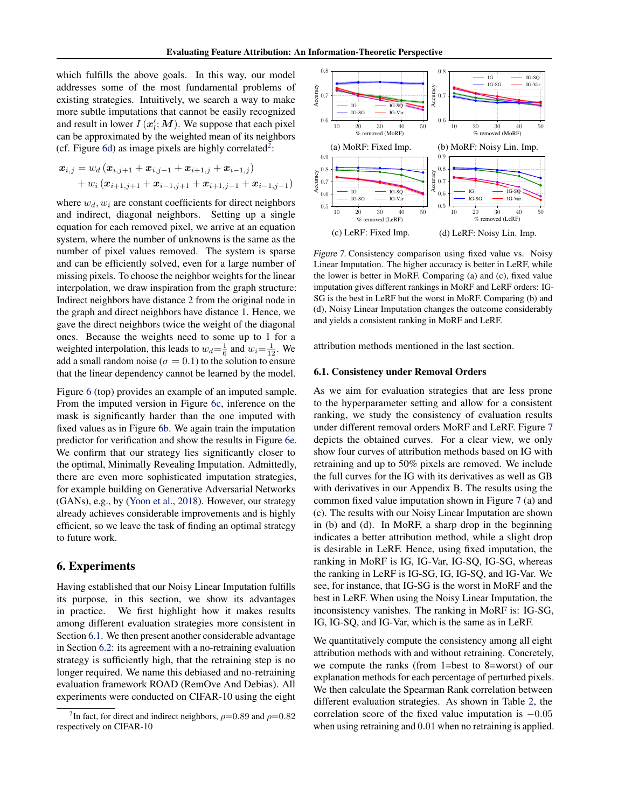which fulfills the above goals. In this way, our model addresses some of the most fundamental problems of existing strategies. Intuitively, we search a way to make more subtle imputations that cannot be easily recognized and result in lower  $I(\mathbf{x}'_l; \mathbf{M})$ . We suppose that each pixel can be approximated by the weighted mean of its neighbors (cf. Figure [6d\)](#page-5-2) as image pixels are highly correlated<sup>[2](#page-6-0)</sup>:

$$
\begin{aligned} \bm{x}_{i,j} &= w_d \left( \bm{x}_{i,j+1} + \bm{x}_{i,j-1} + \bm{x}_{i+1,j} + \bm{x}_{i-1,j} \right) \\ &+ w_i \left( \bm{x}_{i+1,j+1} + \bm{x}_{i-1,j+1} + \bm{x}_{i+1,j-1} + \bm{x}_{i-1,j-1} \right) \end{aligned}
$$

where  $w_d, w_i$  are constant coefficients for direct neighbors and indirect, diagonal neighbors. Setting up a single equation for each removed pixel, we arrive at an equation system, where the number of unknowns is the same as the number of pixel values removed. The system is sparse and can be efficiently solved, even for a large number of missing pixels. To choose the neighbor weights for the linear interpolation, we draw inspiration from the graph structure: Indirect neighbors have distance 2 from the original node in the graph and direct neighbors have distance 1. Hence, we gave the direct neighbors twice the weight of the diagonal ones. Because the weights need to some up to 1 for a weighted interpolation, this leads to  $w_d = \frac{1}{6}$  and  $w_i = \frac{1}{12}$ . We add a small random noise ( $\sigma = 0.1$ ) to the solution to ensure that the linear dependency cannot be learned by the model.

Figure [6](#page-5-2) (top) provides an example of an imputed sample. From the imputed version in Figure [6c,](#page-5-2) inference on the mask is significantly harder than the one imputed with fixed values as in Figure [6b.](#page-5-2) We again train the imputation predictor for verification and show the results in Figure [6e.](#page-5-2) We confirm that our strategy lies significantly closer to the optimal, Minimally Revealing Imputation. Admittedly, there are even more sophisticated imputation strategies, for example building on Generative Adversarial Networks (GANs), e.g., by [\(Yoon et al.,](#page-10-2) [2018\)](#page-10-2). However, our strategy already achieves considerable improvements and is highly efficient, so we leave the task of finding an optimal strategy to future work.

### 6. Experiments

Having established that our Noisy Linear Imputation fulfills its purpose, in this section, we show its advantages in practice. We first highlight how it makes results among different evaluation strategies more consistent in Section [6.1.](#page-6-1) We then present another considerable advantage in Section [6.2:](#page-7-0) its agreement with a no-retraining evaluation strategy is sufficiently high, that the retraining step is no longer required. We name this debiased and no-retraining evaluation framework ROAD (RemOve And Debias). All experiments were conducted on CIFAR-10 using the eight

<span id="page-6-2"></span>

Figure 7. Consistency comparison using fixed value vs. Noisy Linear Imputation. The higher accuracy is better in LeRF, while the lower is better in MoRF. Comparing (a) and (c), fixed value imputation gives different rankings in MoRF and LeRF orders: IG-SG is the best in LeRF but the worst in MoRF. Comparing (b) and (d), Noisy Linear Imputation changes the outcome considerably and yields a consistent ranking in MoRF and LeRF.

attribution methods mentioned in the last section.

#### <span id="page-6-1"></span>6.1. Consistency under Removal Orders

As we aim for evaluation strategies that are less prone to the hyperparameter setting and allow for a consistent ranking, we study the consistency of evaluation results under different removal orders MoRF and LeRF. Figure [7](#page-6-2) depicts the obtained curves. For a clear view, we only show four curves of attribution methods based on IG with retraining and up to 50% pixels are removed. We include the full curves for the IG with its derivatives as well as GB with derivatives in our Appendix B. The results using the common fixed value imputation shown in Figure [7](#page-6-2) (a) and (c). The results with our Noisy Linear Imputation are shown in (b) and (d). In MoRF, a sharp drop in the beginning indicates a better attribution method, while a slight drop is desirable in LeRF. Hence, using fixed imputation, the ranking in MoRF is IG, IG-Var, IG-SQ, IG-SG, whereas the ranking in LeRF is IG-SG, IG, IG-SQ, and IG-Var. We see, for instance, that IG-SG is the worst in MoRF and the best in LeRF. When using the Noisy Linear Imputation, the inconsistency vanishes. The ranking in MoRF is: IG-SG, IG, IG-SQ, and IG-Var, which is the same as in LeRF.

We quantitatively compute the consistency among all eight attribution methods with and without retraining. Concretely, we compute the ranks (from 1=best to 8=worst) of our explanation methods for each percentage of perturbed pixels. We then calculate the Spearman Rank correlation between different evaluation strategies. As shown in Table [2,](#page-7-1) the correlation score of the fixed value imputation is −0.05 when using retraining and  $0.01$  when no retraining is applied.

<span id="page-6-0"></span><sup>&</sup>lt;sup>2</sup>In fact, for direct and indirect neighbors,  $\rho$ =0.89 and  $\rho$ =0.82 respectively on CIFAR-10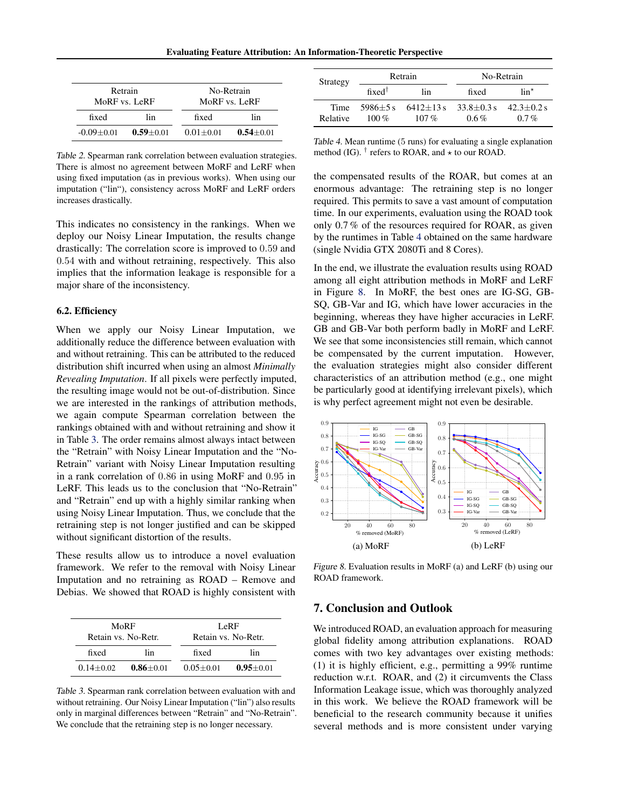<span id="page-7-1"></span>

| Retrain        |               | No-Retrain    |               |  |  |
|----------------|---------------|---------------|---------------|--|--|
| MoRF vs. LeRF  |               | MoRF vs. LeRF |               |  |  |
| fixed<br>lin   |               | fixed         | lin           |  |  |
| $-0.09 + 0.01$ | $0.59 + 0.01$ | $0.01 + 0.01$ | $0.54 + 0.01$ |  |  |

Table 2. Spearman rank correlation between evaluation strategies. There is almost no agreement between MoRF and LeRF when using fixed imputation (as in previous works). When using our imputation ("lin"), consistency across MoRF and LeRF orders increases drastically.

This indicates no consistency in the rankings. When we deploy our Noisy Linear Imputation, the results change drastically: The correlation score is improved to 0.59 and 0.54 with and without retraining, respectively. This also implies that the information leakage is responsible for a major share of the inconsistency.

#### <span id="page-7-0"></span>6.2. Efficiency

When we apply our Noisy Linear Imputation, we additionally reduce the difference between evaluation with and without retraining. This can be attributed to the reduced distribution shift incurred when using an almost *Minimally Revealing Imputation*. If all pixels were perfectly imputed, the resulting image would not be out-of-distribution. Since we are interested in the rankings of attribution methods, we again compute Spearman correlation between the rankings obtained with and without retraining and show it in Table [3.](#page-7-2) The order remains almost always intact between the "Retrain" with Noisy Linear Imputation and the "No-Retrain" variant with Noisy Linear Imputation resulting in a rank correlation of 0.86 in using MoRF and 0.95 in LeRF. This leads us to the conclusion that "No-Retrain" and "Retrain" end up with a highly similar ranking when using Noisy Linear Imputation. Thus, we conclude that the retraining step is not longer justified and can be skipped without significant distortion of the results.

These results allow us to introduce a novel evaluation framework. We refer to the removal with Noisy Linear Imputation and no retraining as ROAD – Remove and Debias. We showed that ROAD is highly consistent with

<span id="page-7-2"></span>

| Retain vs. No-Retr.            | MoRF | LeRF<br>Retain vs. No-Retr. |               |  |  |
|--------------------------------|------|-----------------------------|---------------|--|--|
| fixed<br>lin                   |      | fixed                       | lin           |  |  |
| $0.86 + 0.01$<br>$0.14 + 0.02$ |      | $0.05 + 0.01$               | $0.95 + 0.01$ |  |  |

Table 3. Spearman rank correlation between evaluation with and without retraining. Our Noisy Linear Imputation ("lin") also results only in marginal differences between "Retrain" and "No-Retrain". We conclude that the retraining step is no longer necessary.

<span id="page-7-3"></span>

| Strategy         |                                       | Retrain               | No-Retrain                |                           |  |  |
|------------------|---------------------------------------|-----------------------|---------------------------|---------------------------|--|--|
|                  | fixed <sup><math>\dagger</math></sup> | lin                   | fixed                     | $\lim$ <sup>*</sup>       |  |  |
| Time<br>Relative | $5986+5s$<br>100 $\%$                 | $6412+13s$<br>$107\%$ | $33.8 + 0.3 s$<br>$0.6\%$ | $42.3 + 0.2$ s<br>$0.7\%$ |  |  |

Table 4. Mean runtime (5 runs) for evaluating a single explanation method (IG).  $^{\dagger}$  refers to ROAR, and  $\star$  to our ROAD.

the compensated results of the ROAR, but comes at an enormous advantage: The retraining step is no longer required. This permits to save a vast amount of computation time. In our experiments, evaluation using the ROAD took only 0.7 % of the resources required for ROAR, as given by the runtimes in Table [4](#page-7-3) obtained on the same hardware (single Nvidia GTX 2080Ti and 8 Cores).

In the end, we illustrate the evaluation results using ROAD among all eight attribution methods in MoRF and LeRF in Figure [8.](#page-7-4) In MoRF, the best ones are IG-SG, GB-SQ, GB-Var and IG, which have lower accuracies in the beginning, whereas they have higher accuracies in LeRF. GB and GB-Var both perform badly in MoRF and LeRF. We see that some inconsistencies still remain, which cannot be compensated by the current imputation. However, the evaluation strategies might also consider different characteristics of an attribution method (e.g., one might be particularly good at identifying irrelevant pixels), which is why perfect agreement might not even be desirable.

<span id="page-7-4"></span>

Figure 8. Evaluation results in MoRF (a) and LeRF (b) using our ROAD framework.

### 7. Conclusion and Outlook

We introduced ROAD, an evaluation approach for measuring global fidelity among attribution explanations. ROAD comes with two key advantages over existing methods: (1) it is highly efficient, e.g., permitting a 99% runtime reduction w.r.t. ROAR, and (2) it circumvents the Class Information Leakage issue, which was thoroughly analyzed in this work. We believe the ROAD framework will be beneficial to the research community because it unifies several methods and is more consistent under varying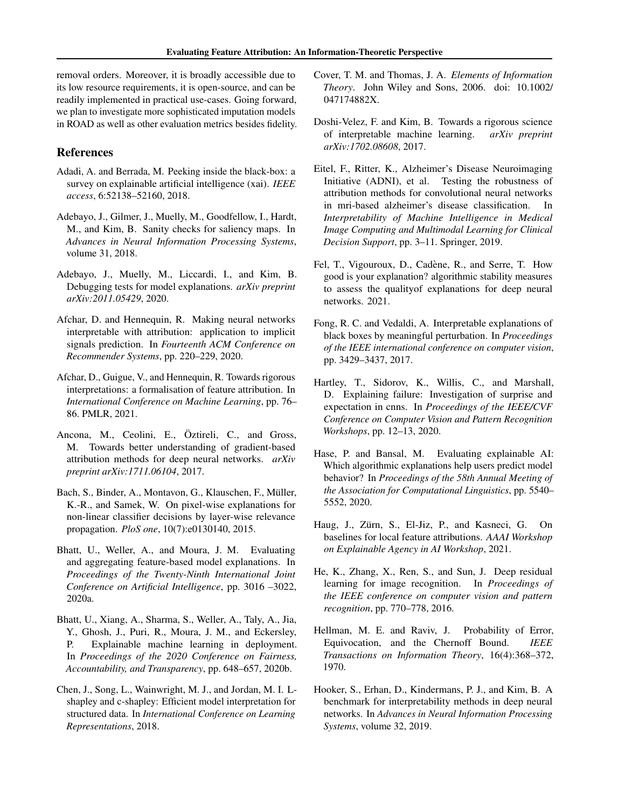removal orders. Moreover, it is broadly accessible due to its low resource requirements, it is open-source, and can be readily implemented in practical use-cases. Going forward, we plan to investigate more sophisticated imputation models in ROAD as well as other evaluation metrics besides fidelity.

#### References

- <span id="page-8-0"></span>Adadi, A. and Berrada, M. Peeking inside the black-box: a survey on explainable artificial intelligence (xai). *IEEE access*, 6:52138–52160, 2018.
- <span id="page-8-10"></span>Adebayo, J., Gilmer, J., Muelly, M., Goodfellow, I., Hardt, M., and Kim, B. Sanity checks for saliency maps. In *Advances in Neural Information Processing Systems*, volume 31, 2018.
- <span id="page-8-3"></span>Adebayo, J., Muelly, M., Liccardi, I., and Kim, B. Debugging tests for model explanations. *arXiv preprint arXiv:2011.05429*, 2020.
- <span id="page-8-5"></span>Afchar, D. and Hennequin, R. Making neural networks interpretable with attribution: application to implicit signals prediction. In *Fourteenth ACM Conference on Recommender Systems*, pp. 220–229, 2020.
- <span id="page-8-14"></span>Afchar, D., Guigue, V., and Hennequin, R. Towards rigorous interpretations: a formalisation of feature attribution. In *International Conference on Machine Learning*, pp. 76– 86. PMLR, 2021.
- <span id="page-8-16"></span>Ancona, M., Ceolini, E., Öztireli, C., and Gross, M. Towards better understanding of gradient-based attribution methods for deep neural networks. *arXiv preprint arXiv:1711.06104*, 2017.
- <span id="page-8-8"></span>Bach, S., Binder, A., Montavon, G., Klauschen, F., Müller, K.-R., and Samek, W. On pixel-wise explanations for non-linear classifier decisions by layer-wise relevance propagation. *PloS one*, 10(7):e0130140, 2015.
- <span id="page-8-12"></span>Bhatt, U., Weller, A., and Moura, J. M. Evaluating and aggregating feature-based model explanations. In *Proceedings of the Twenty-Ninth International Joint Conference on Artificial Intelligence*, pp. 3016 –3022, 2020a.
- <span id="page-8-2"></span>Bhatt, U., Xiang, A., Sharma, S., Weller, A., Taly, A., Jia, Y., Ghosh, J., Puri, R., Moura, J. M., and Eckersley, P. Explainable machine learning in deployment. In *Proceedings of the 2020 Conference on Fairness, Accountability, and Transparency*, pp. 648–657, 2020b.
- <span id="page-8-11"></span>Chen, J., Song, L., Wainwright, M. J., and Jordan, M. I. Lshapley and c-shapley: Efficient model interpretation for structured data. In *International Conference on Learning Representations*, 2018.
- <span id="page-8-18"></span>Cover, T. M. and Thomas, J. A. *Elements of Information Theory*. John Wiley and Sons, 2006. doi: 10.1002/ 047174882X.
- <span id="page-8-15"></span>Doshi-Velez, F. and Kim, B. Towards a rigorous science of interpretable machine learning. *arXiv preprint arXiv:1702.08608*, 2017.
- <span id="page-8-4"></span>Eitel, F., Ritter, K., Alzheimer's Disease Neuroimaging Initiative (ADNI), et al. Testing the robustness of attribution methods for convolutional neural networks in mri-based alzheimer's disease classification. In *Interpretability of Machine Intelligence in Medical Image Computing and Multimodal Learning for Clinical Decision Support*, pp. 3–11. Springer, 2019.
- <span id="page-8-13"></span>Fel, T., Vigouroux, D., Cadène, R., and Serre, T. How good is your explanation? algorithmic stability measures to assess the qualityof explanations for deep neural networks. 2021.
- <span id="page-8-9"></span>Fong, R. C. and Vedaldi, A. Interpretable explanations of black boxes by meaningful perturbation. In *Proceedings of the IEEE international conference on computer vision*, pp. 3429–3437, 2017.
- <span id="page-8-17"></span>Hartley, T., Sidorov, K., Willis, C., and Marshall, D. Explaining failure: Investigation of surprise and expectation in cnns. In *Proceedings of the IEEE/CVF Conference on Computer Vision and Pattern Recognition Workshops*, pp. 12–13, 2020.
- <span id="page-8-6"></span>Hase, P. and Bansal, M. Evaluating explainable AI: Which algorithmic explanations help users predict model behavior? In *Proceedings of the 58th Annual Meeting of the Association for Computational Linguistics*, pp. 5540– 5552, 2020.
- <span id="page-8-7"></span>Haug, J., Zürn, S., El-Jiz, P., and Kasneci, G. On baselines for local feature attributions. *AAAI Workshop on Explainable Agency in AI Workshop*, 2021.
- <span id="page-8-20"></span>He, K., Zhang, X., Ren, S., and Sun, J. Deep residual learning for image recognition. In *Proceedings of the IEEE conference on computer vision and pattern recognition*, pp. 770–778, 2016.
- <span id="page-8-19"></span>Hellman, M. E. and Raviv, J. Probability of Error, Equivocation, and the Chernoff Bound. *IEEE Transactions on Information Theory*, 16(4):368–372, 1970.
- <span id="page-8-1"></span>Hooker, S., Erhan, D., Kindermans, P. J., and Kim, B. A benchmark for interpretability methods in deep neural networks. In *Advances in Neural Information Processing Systems*, volume 32, 2019.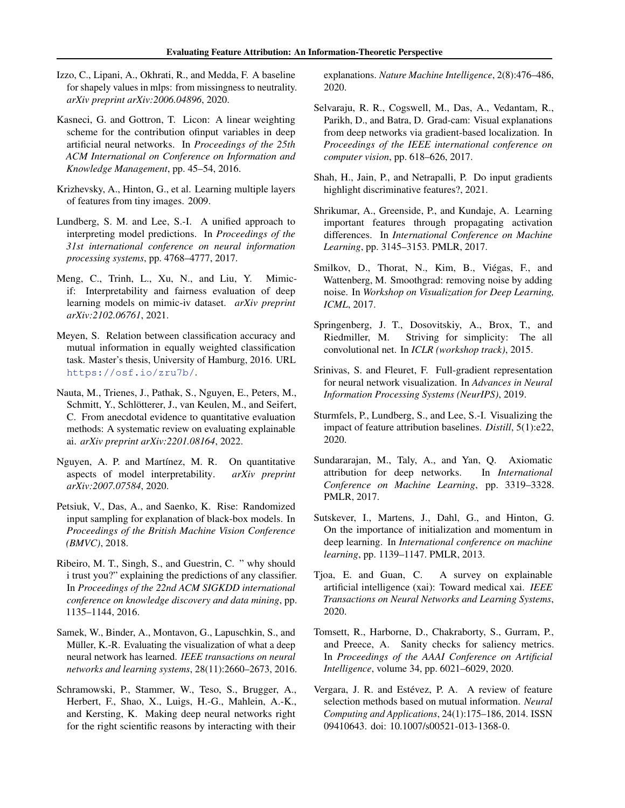- <span id="page-9-14"></span>Izzo, C., Lipani, A., Okhrati, R., and Medda, F. A baseline for shapely values in mlps: from missingness to neutrality. *arXiv preprint arXiv:2006.04896*, 2020.
- <span id="page-9-9"></span>Kasneci, G. and Gottron, T. Licon: A linear weighting scheme for the contribution ofinput variables in deep artificial neural networks. In *Proceedings of the 25th ACM International on Conference on Information and Knowledge Management*, pp. 45–54, 2016.
- <span id="page-9-22"></span>Krizhevsky, A., Hinton, G., et al. Learning multiple layers of features from tiny images. 2009.
- <span id="page-9-2"></span>Lundberg, S. M. and Lee, S.-I. A unified approach to interpreting model predictions. In *Proceedings of the 31st international conference on neural information processing systems*, pp. 4768–4777, 2017.
- <span id="page-9-15"></span>Meng, C., Trinh, L., Xu, N., and Liu, Y. Mimicif: Interpretability and fairness evaluation of deep learning models on mimic-iv dataset. *arXiv preprint arXiv:2102.06761*, 2021.
- <span id="page-9-20"></span>Meyen, S. Relation between classification accuracy and mutual information in equally weighted classification task. Master's thesis, University of Hamburg, 2016. URL <https://osf.io/zru7b/>.
- <span id="page-9-12"></span>Nauta, M., Trienes, J., Pathak, S., Nguyen, E., Peters, M., Schmitt, Y., Schlötterer, J., van Keulen, M., and Seifert, C. From anecdotal evidence to quantitative evaluation methods: A systematic review on evaluating explainable ai. *arXiv preprint arXiv:2201.08164*, 2022.
- <span id="page-9-6"></span>Nguyen, A. P. and Martínez, M. R. On quantitative aspects of model interpretability. *arXiv preprint arXiv:2007.07584*, 2020.
- <span id="page-9-11"></span>Petsiuk, V., Das, A., and Saenko, K. Rise: Randomized input sampling for explanation of black-box models. In *Proceedings of the British Machine Vision Conference (BMVC)*, 2018.
- <span id="page-9-1"></span>Ribeiro, M. T., Singh, S., and Guestrin, C. " why should i trust you?" explaining the predictions of any classifier. In *Proceedings of the 22nd ACM SIGKDD international conference on knowledge discovery and data mining*, pp. 1135–1144, 2016.
- <span id="page-9-13"></span>Samek, W., Binder, A., Montavon, G., Lapuschkin, S., and Müller, K.-R. Evaluating the visualization of what a deep neural network has learned. *IEEE transactions on neural networks and learning systems*, 28(11):2660–2673, 2016.
- <span id="page-9-16"></span>Schramowski, P., Stammer, W., Teso, S., Brugger, A., Herbert, F., Shao, X., Luigs, H.-G., Mahlein, A.-K., and Kersting, K. Making deep neural networks right for the right scientific reasons by interacting with their

explanations. *Nature Machine Intelligence*, 2(8):476–486, 2020.

- <span id="page-9-4"></span>Selvaraju, R. R., Cogswell, M., Das, A., Vedantam, R., Parikh, D., and Batra, D. Grad-cam: Visual explanations from deep networks via gradient-based localization. In *Proceedings of the IEEE international conference on computer vision*, pp. 618–626, 2017.
- <span id="page-9-18"></span>Shah, H., Jain, P., and Netrapalli, P. Do input gradients highlight discriminative features?, 2021.
- <span id="page-9-10"></span>Shrikumar, A., Greenside, P., and Kundaje, A. Learning important features through propagating activation differences. In *International Conference on Machine Learning*, pp. 3145–3153. PMLR, 2017.
- <span id="page-9-5"></span>Smilkov, D., Thorat, N., Kim, B., Viégas, F., and Wattenberg, M. Smoothgrad: removing noise by adding noise. In *Workshop on Visualization for Deep Learning, ICML*, 2017.
- <span id="page-9-0"></span>Springenberg, J. T., Dosovitskiy, A., Brox, T., and Riedmiller, M. Striving for simplicity: The all convolutional net. In *ICLR (workshop track)*, 2015.
- <span id="page-9-17"></span>Srinivas, S. and Fleuret, F. Full-gradient representation for neural network visualization. In *Advances in Neural Information Processing Systems (NeurIPS)*, 2019.
- <span id="page-9-19"></span>Sturmfels, P., Lundberg, S., and Lee, S.-I. Visualizing the impact of feature attribution baselines. *Distill*, 5(1):e22, 2020.
- <span id="page-9-3"></span>Sundararajan, M., Taly, A., and Yan, Q. Axiomatic attribution for deep networks. In *International Conference on Machine Learning*, pp. 3319–3328. PMLR, 2017.
- <span id="page-9-23"></span>Sutskever, I., Martens, J., Dahl, G., and Hinton, G. On the importance of initialization and momentum in deep learning. In *International conference on machine learning*, pp. 1139–1147. PMLR, 2013.
- <span id="page-9-8"></span>Tjoa, E. and Guan, C. A survey on explainable artificial intelligence (xai): Toward medical xai. *IEEE Transactions on Neural Networks and Learning Systems*, 2020.
- <span id="page-9-7"></span>Tomsett, R., Harborne, D., Chakraborty, S., Gurram, P., and Preece, A. Sanity checks for saliency metrics. In *Proceedings of the AAAI Conference on Artificial Intelligence*, volume 34, pp. 6021–6029, 2020.
- <span id="page-9-21"></span>Vergara, J. R. and Estévez, P. A. A review of feature selection methods based on mutual information. *Neural Computing and Applications*, 24(1):175–186, 2014. ISSN 09410643. doi: 10.1007/s00521-013-1368-0.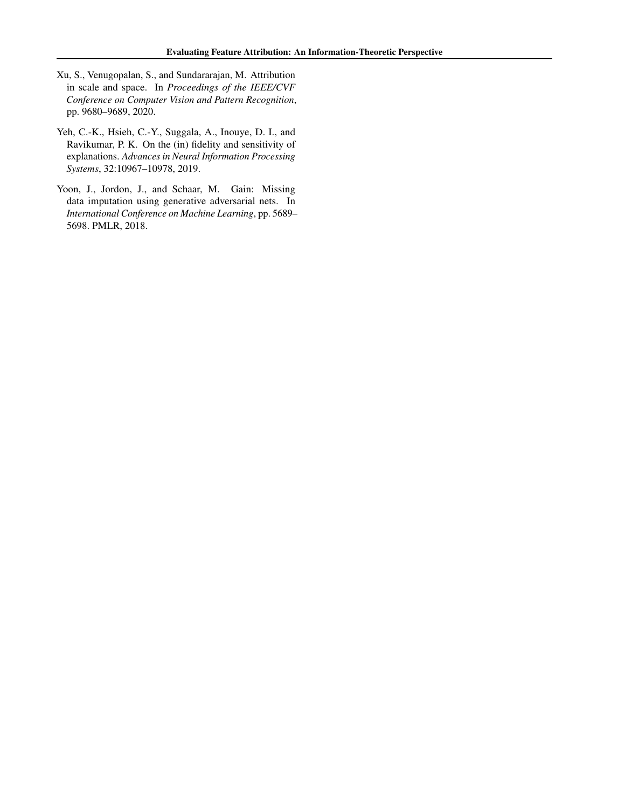- <span id="page-10-1"></span>Xu, S., Venugopalan, S., and Sundararajan, M. Attribution in scale and space. In *Proceedings of the IEEE/CVF Conference on Computer Vision and Pattern Recognition*, pp. 9680–9689, 2020.
- <span id="page-10-0"></span>Yeh, C.-K., Hsieh, C.-Y., Suggala, A., Inouye, D. I., and Ravikumar, P. K. On the (in) fidelity and sensitivity of explanations. *Advances in Neural Information Processing Systems*, 32:10967–10978, 2019.
- <span id="page-10-2"></span>Yoon, J., Jordon, J., and Schaar, M. Gain: Missing data imputation using generative adversarial nets. In *International Conference on Machine Learning*, pp. 5689– 5698. PMLR, 2018.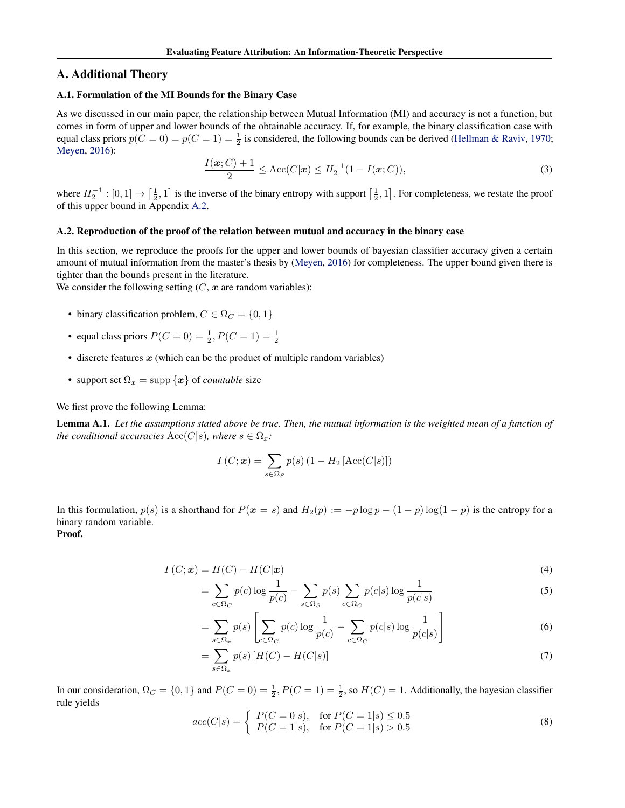### A. Additional Theory

#### <span id="page-11-0"></span>A.1. Formulation of the MI Bounds for the Binary Case

As we discussed in our main paper, the relationship between Mutual Information (MI) and accuracy is not a function, but comes in form of upper and lower bounds of the obtainable accuracy. If, for example, the binary classification case with equal class priors  $p(C = 0) = p(C = 1) = \frac{1}{2}$  is considered, the following bounds can be derived [\(Hellman & Raviv,](#page-8-19) [1970;](#page-8-19) [Meyen,](#page-9-20) [2016\)](#page-9-20):

$$
\frac{I(\mathbf{x}; C) + 1}{2} \le \text{Acc}(C|\mathbf{x}) \le H_2^{-1}(1 - I(\mathbf{x}; C)),\tag{3}
$$

where  $H_2^{-1}:[0,1]\to[\frac{1}{2},1]$  is the inverse of the binary entropy with support  $[\frac{1}{2},1]$ . For completeness, we restate the proof of this upper bound in Appendix [A.2.](#page-11-1)

#### <span id="page-11-1"></span>A.2. Reproduction of the proof of the relation between mutual and accuracy in the binary case

In this section, we reproduce the proofs for the upper and lower bounds of bayesian classifier accuracy given a certain amount of mutual information from the master's thesis by [\(Meyen,](#page-9-20) [2016\)](#page-9-20) for completeness. The upper bound given there is tighter than the bounds present in the literature.

We consider the following setting  $(C, x)$  are random variables):

- binary classification problem,  $C \in \Omega_C = \{0, 1\}$
- equal class priors  $P(C = 0) = \frac{1}{2}$ ,  $P(C = 1) = \frac{1}{2}$
- $\bullet$  discrete features  $x$  (which can be the product of multiple random variables)
- support set  $\Omega_x = \text{supp} \{x\}$  of *countable* size

We first prove the following Lemma:

Lemma A.1. *Let the assumptions stated above be true. Then, the mutual information is the weighted mean of a function of the conditional accuracies*  $Acc(C|s)$ *, where*  $s \in \Omega_x$ *:* 

$$
I(C; \mathbf{x}) = \sum_{s \in \Omega_S} p(s) \left(1 - H_2 \left[\text{Acc}(C|s)\right]\right)
$$

In this formulation,  $p(s)$  is a shorthand for  $P(x = s)$  and  $H_2(p) := -p \log p - (1 - p) \log(1 - p)$  is the entropy for a binary random variable.

Proof.

$$
I(C; \mathbf{x}) = H(C) - H(C|\mathbf{x}) \tag{4}
$$

$$
= \sum_{c \in \Omega_C} p(c) \log \frac{1}{p(c)} - \sum_{s \in \Omega_S} p(s) \sum_{c \in \Omega_C} p(c|s) \log \frac{1}{p(c|s)}
$$
(5)

$$
= \sum_{s \in \Omega_x} p(s) \left[ \sum_{c \in \Omega_C} p(c) \log \frac{1}{p(c)} - \sum_{c \in \Omega_C} p(c|s) \log \frac{1}{p(c|s)} \right]
$$
(6)

$$
=\sum_{s\in\Omega_x}p(s)\left[H(C)-H(C|s)\right]
$$
\n(7)

In our consideration,  $\Omega_C = \{0, 1\}$  and  $P(C = 0) = \frac{1}{2}$ ,  $P(C = 1) = \frac{1}{2}$ , so  $H(C) = 1$ . Additionally, the bayesian classifier rule yields

$$
acc(C|s) = \begin{cases} P(C=0|s), & \text{for } P(C=1|s) \le 0.5\\ P(C=1|s), & \text{for } P(C=1|s) > 0.5 \end{cases}
$$
(8)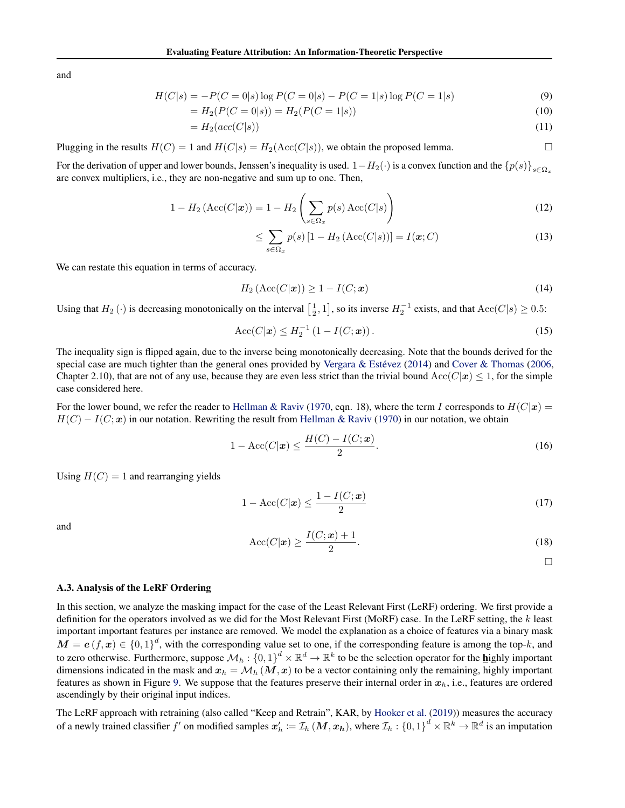and

$$
H(C|s) = -P(C=0|s) \log P(C=0|s) - P(C=1|s) \log P(C=1|s)
$$
\n(9)

$$
=H_2(P(C=0|s)) = H_2(P(C=1|s))
$$
\n(10)

$$
=H_2(\operatorname{acc}(C|s))\tag{11}
$$

Plugging in the results  $H(C) = 1$  and  $H(C|s) = H_2(\text{Acc}(C|s))$ , we obtain the proposed lemma.

For the derivation of upper and lower bounds, Jenssen's inequality is used.  $1-H_2(\cdot)$  is a convex function and the  ${p(s)}_{s \in \Omega_{\infty}}$ are convex multipliers, i.e., they are non-negative and sum up to one. Then,

$$
1 - H_2\left(\text{Acc}(C|\boldsymbol{x})\right) = 1 - H_2\left(\sum_{s \in \Omega_x} p(s) \text{Acc}(C|s)\right)
$$
\n(12)

$$
\leq \sum_{s \in \Omega_x} p(s) \left[ 1 - H_2 \left( \text{Acc}(C|s) \right) \right] = I(\boldsymbol{x}; C) \tag{13}
$$

We can restate this equation in terms of accuracy.

$$
H_2\left(\text{Acc}(C|\boldsymbol{x})\right) \ge 1 - I(C; \boldsymbol{x})\tag{14}
$$

Using that  $H_2(\cdot)$  is decreasing monotonically on the interval  $\left[\frac{1}{2},1\right]$ , so its inverse  $H_2^{-1}$  exists, and that  $Acc(C|s) \ge 0.5$ :

$$
Acc(C|\mathbf{x}) \le H_2^{-1} (1 - I(C; \mathbf{x})). \tag{15}
$$

The inequality sign is flipped again, due to the inverse being monotonically decreasing. Note that the bounds derived for the special case are much tighter than the general ones provided by Vergara & Estévez  $(2014)$  and [Cover & Thomas](#page-8-18) [\(2006,](#page-8-18) Chapter 2.10), that are not of any use, because they are even less strict than the trivial bound Acc( $C|x| \leq 1$ , for the simple case considered here.

For the lower bound, we refer the reader to [Hellman & Raviv](#page-8-19) [\(1970,](#page-8-19) eqn. 18), where the term I corresponds to  $H(C|\mathbf{x}) =$  $H(C) - I(C; \mathbf{x})$  in our notation. Rewriting the result from [Hellman & Raviv](#page-8-19) [\(1970\)](#page-8-19) in our notation, we obtain

$$
1 - \text{Acc}(C|\boldsymbol{x}) \le \frac{H(C) - I(C; \boldsymbol{x})}{2}.
$$
\n
$$
(16)
$$

Using  $H(C) = 1$  and rearranging yields

$$
1 - \text{Acc}(C|\boldsymbol{x}) \le \frac{1 - I(C; \boldsymbol{x})}{2} \tag{17}
$$

and

$$
\text{Acc}(C|\boldsymbol{x}) \ge \frac{I(C;\boldsymbol{x}) + 1}{2}.
$$
\n(18)

 $\Box$ 

#### A.3. Analysis of the LeRF Ordering

In this section, we analyze the masking impact for the case of the Least Relevant First (LeRF) ordering. We first provide a definition for the operators involved as we did for the Most Relevant First (MoRF) case. In the LeRF setting, the  $k$  least important important features per instance are removed. We model the explanation as a choice of features via a binary mask  $M = e(f, x) \in \{0, 1\}^d$ , with the corresponding value set to one, if the corresponding feature is among the top-k, and to zero otherwise. Furthermore, suppose  $\mathcal{M}_h$  :  $\{0,1\}^d \times \mathbb{R}^d \to \mathbb{R}^k$  to be the selection operator for the **h**ighly important dimensions indicated in the mask and  $x_h = \mathcal{M}_h (M, x)$  to be a vector containing only the remaining, highly important features as shown in Figure [9.](#page-13-0) We suppose that the features preserve their internal order in  $x<sub>h</sub>$ , i.e., features are ordered ascendingly by their original input indices.

The LeRF approach with retraining (also called "Keep and Retrain", KAR, by [Hooker et al.](#page-8-1) [\(2019\)](#page-8-1)) measures the accuracy of a newly trained classifier  $f'$  on modified samples  $x'_h \coloneqq \mathcal{I}_h(M,x_h)$ , where  $\mathcal{I}_h: \left\{0,1\right\}^d \times \mathbb{R}^k \to \mathbb{R}^d$  is an imputation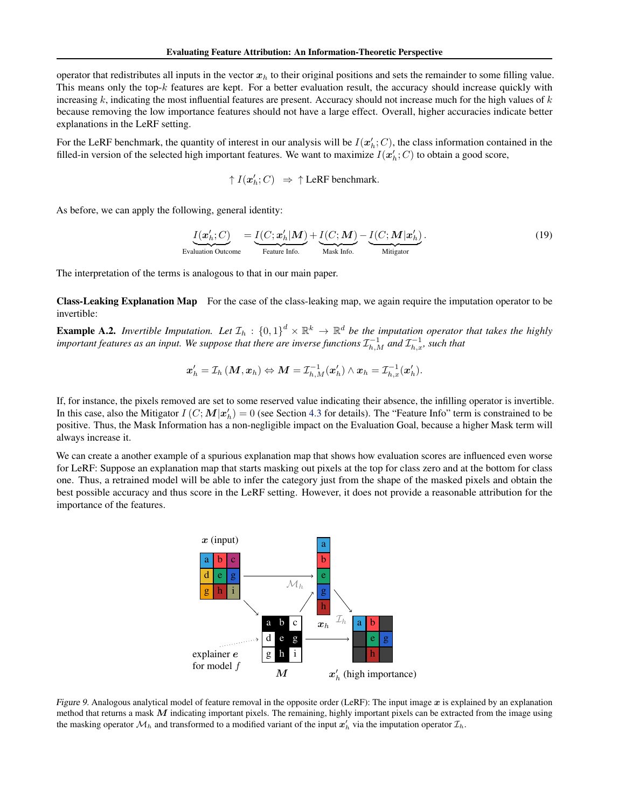operator that redistributes all inputs in the vector  $x<sub>h</sub>$  to their original positions and sets the remainder to some filling value. This means only the top- $k$  features are kept. For a better evaluation result, the accuracy should increase quickly with increasing  $k$ , indicating the most influential features are present. Accuracy should not increase much for the high values of  $k$ because removing the low importance features should not have a large effect. Overall, higher accuracies indicate better explanations in the LeRF setting.

For the LeRF benchmark, the quantity of interest in our analysis will be  $I(\mathbf{x}'_h;C)$ , the class information contained in the filled-in version of the selected high important features. We want to maximize  $I(\mathbf{x}'_h;C)$  to obtain a good score,

$$
\uparrow I(\mathbf{x}'_h;C) \;\; \Rightarrow \; \uparrow \text{LeRF benchmark}.
$$

As before, we can apply the following, general identity:

$$
\underbrace{I(\mathbf{x}'_h; C)}_{\text{Evaluation Outcome}} = \underbrace{I(C; \mathbf{x}'_h | \mathbf{M})}_{\text{Feature Info.}} + \underbrace{I(C; \mathbf{M})}_{\text{Mask Info.}} - \underbrace{I(C; \mathbf{M} | \mathbf{x}'_h)}_{\text{Mitigator}}.
$$
\n(19)

The interpretation of the terms is analogous to that in our main paper.

Class-Leaking Explanation Map For the case of the class-leaking map, we again require the imputation operator to be invertible:

**Example A.2.** Invertible Imputation. Let  $\mathcal{I}_h$  :  $\{0,1\}^d \times \mathbb{R}^k \to \mathbb{R}^d$  be the imputation operator that takes the highly *important features as an input. We suppose that there are inverse functions*  $\mathcal{I}_{h,M}^{-1}$  *and*  $\mathcal{I}_{h,x}^{-1}$ *, such that* 

$$
\boldsymbol{x}_h' = \mathcal{I}_h\left(\boldsymbol{M}, \boldsymbol{x}_h\right) \Leftrightarrow \boldsymbol{M} = \mathcal{I}_{h, M}^{-1}(\boldsymbol{x}_h') \wedge \boldsymbol{x}_h = \mathcal{I}_{h, x}^{-1}(\boldsymbol{x}_h').
$$

If, for instance, the pixels removed are set to some reserved value indicating their absence, the infilling operator is invertible. In this case, also the Mitigator  $I(C;M|x'_h) = 0$  (see Section [4.3](#page-4-0) for details). The "Feature Info" term is constrained to be positive. Thus, the Mask Information has a non-negligible impact on the Evaluation Goal, because a higher Mask term will always increase it.

<span id="page-13-0"></span>We can create a another example of a spurious explanation map that shows how evaluation scores are influenced even worse for LeRF: Suppose an explanation map that starts masking out pixels at the top for class zero and at the bottom for class one. Thus, a retrained model will be able to infer the category just from the shape of the masked pixels and obtain the best possible accuracy and thus score in the LeRF setting. However, it does not provide a reasonable attribution for the importance of the features.



Figure 9. Analogous analytical model of feature removal in the opposite order (LeRF): The input image  $x$  is explained by an explanation method that returns a mask  $M$  indicating important pixels. The remaining, highly important pixels can be extracted from the image using the masking operator  $\mathcal{M}_h$  and transformed to a modified variant of the input  $x'_h$  via the imputation operator  $\mathcal{I}_h$ .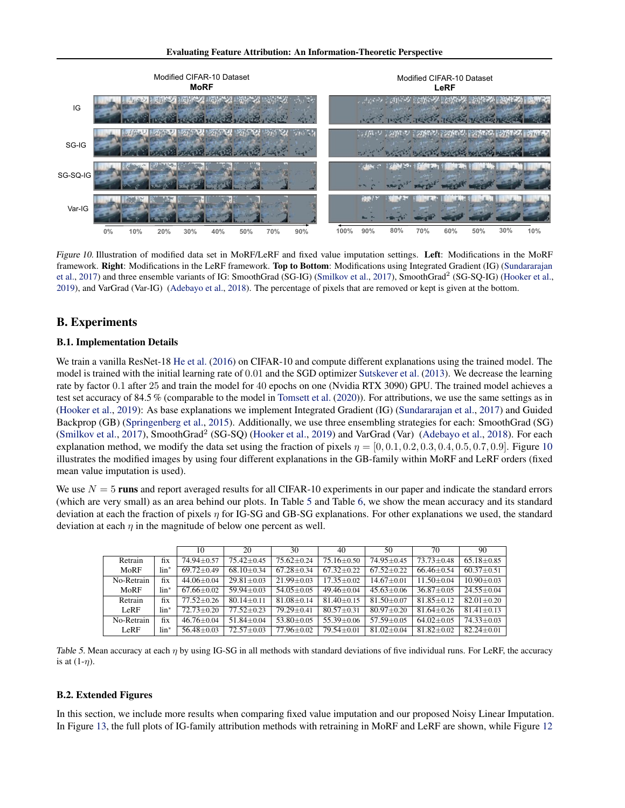<span id="page-14-0"></span>

Figure 10. Illustration of modified data set in MoRF/LeRF and fixed value imputation settings. Left: Modifications in the MoRF framework. Right: Modifications in the LeRF framework. Top to Bottom: Modifications using Integrated Gradient (IG) [\(Sundararajan](#page-9-3) [et al.,](#page-9-3) [2017\)](#page-9-5) and three ensemble variants of IG: SmoothGrad (SG-IG) [\(Smilkov et al.,](#page-9-5) 2017), SmoothGrad<sup>2</sup> (SG-SQ-IG) [\(Hooker et al.,](#page-8-1) [2019\)](#page-8-1), and VarGrad (Var-IG) [\(Adebayo et al.,](#page-8-10) [2018\)](#page-8-10). The percentage of pixels that are removed or kept is given at the bottom.

## B. Experiments

### B.1. Implementation Details

We train a vanilla ResNet-18 [He et al.](#page-8-20) [\(2016\)](#page-8-20) on CIFAR-10 and compute different explanations using the trained model. The model is trained with the initial learning rate of 0.01 and the SGD optimizer [Sutskever et al.](#page-9-23) [\(2013\)](#page-9-23). We decrease the learning rate by factor 0.1 after 25 and train the model for 40 epochs on one (Nvidia RTX 3090) GPU. The trained model achieves a test set accuracy of 84.5 % (comparable to the model in [Tomsett et al.](#page-9-7) [\(2020\)](#page-9-7)). For attributions, we use the same settings as in [\(Hooker et al.,](#page-8-1) [2019\)](#page-8-1): As base explanations we implement Integrated Gradient (IG) [\(Sundararajan et al.,](#page-9-3) [2017\)](#page-9-3) and Guided Backprop (GB) [\(Springenberg et al.,](#page-9-0) [2015\)](#page-9-0). Additionally, we use three ensembling strategies for each: SmoothGrad (SG) [\(Smilkov et al.,](#page-9-5) [2017\)](#page-9-5), SmoothGrad<sup>2</sup> (SG-SQ) [\(Hooker et al.,](#page-8-1) [2019\)](#page-8-1) and VarGrad (Var) [\(Adebayo et al.,](#page-8-10) [2018\)](#page-8-10). For each explanation method, we modify the data set using the fraction of pixels  $\eta = [0, 0.1, 0.2, 0.3, 0.4, 0.5, 0.7, 0.9]$ . Figure [10](#page-14-0) illustrates the modified images by using four different explanations in the GB-family within MoRF and LeRF orders (fixed mean value imputation is used).

We use  $N = 5$  runs and report averaged results for all CIFAR-10 experiments in our paper and indicate the standard errors (which are very small) as an area behind our plots. In Table [5](#page-14-1) and Table [6,](#page-15-0) we show the mean accuracy and its standard deviation at each the fraction of pixels  $\eta$  for IG-SG and GB-SG explanations. For other explanations we used, the standard deviation at each  $\eta$  in the magnitude of below one percent as well.

<span id="page-14-1"></span>

|                             |                       | 10                           | 20               | 30               | 40               | 50               | 70               | 90               |
|-----------------------------|-----------------------|------------------------------|------------------|------------------|------------------|------------------|------------------|------------------|
| Retrain                     | fix                   | $74.94 \pm 0.57$             | $75.42 + 0.45$   | $75.62 + 0.24$   | $75.16 \pm 0.50$ | $74.95 \pm 0.45$ | $73.73 + 0.48$   | $65.18 \pm 0.85$ |
| MoRF                        | $\lim$ <sup>*</sup>   | $69.72 \pm 0.49$             | $68.10 \pm 0.34$ | $67.28 + 0.34$   | $67.32 \pm 0.22$ | $67.52 + 0.22$   | $66.46 + 0.54$   | $60.37 \pm 0.51$ |
| No-Retrain                  | fix<br>$44.06 + 0.04$ |                              | $29.81 + 0.03$   | $21.99 + 0.03$   | $17.35 + 0.02$   | $14.67 \pm 0.01$ | $11.50 + 0.04$   | $10.90 + 0.03$   |
| MoRF<br>$\lim$ <sup>*</sup> |                       | $67.66 \pm 0.02$             | $59.94 \pm 0.03$ | $54.05 + 0.05$   | $49.46 \pm 0.04$ | $45.63 + 0.06$   | $36.87 \pm 0.05$ | $24.55+0.04$     |
| Retrain                     | fix                   | $77.52 + 0.26$               | $80.14 \pm 0.11$ | $81.08 + 0.14$   | $81.40 \pm 0.15$ | $81.50 + 0.07$   | $81.85 + 0.12$   | $82.01 + 0.20$   |
| LeRF                        | $\lim$ <sup>*</sup>   | $\frac{1}{2}$ .73 $\pm$ 0.20 | $77.52 + 0.23$   | $79.29 + 0.41$   | $80.57 \pm 0.31$ | $80.97 \pm 0.20$ | $81.64 + 0.26$   | $81.41 + 0.13$   |
| No-Retrain                  | fix                   | $46.76 + 0.04$               | $51.84 + 0.04$   | $53.80 \pm 0.05$ | $55.39 \pm 0.06$ | $57.59 \pm 0.05$ | $64.02 + 0.05$   | $74.33 + 0.03$   |
| LeRF                        | $\lim$ <sup>*</sup>   | $56.48 \pm 0.03$             | $72.57 + 0.03$   | $77.96 + 0.02$   | $79.54 + 0.01$   | $81.02 \pm 0.04$ | $81.82 + 0.02$   | $82.24 \pm 0.01$ |

Table 5. Mean accuracy at each  $\eta$  by using IG-SG in all methods with standard deviations of five individual runs. For LeRF, the accuracy is at  $(1-\eta)$ .

### B.2. Extended Figures

In this section, we include more results when comparing fixed value imputation and our proposed Noisy Linear Imputation. In Figure [13,](#page-17-0) the full plots of IG-family attribution methods with retraining in MoRF and LeRF are shown, while Figure [12](#page-16-0)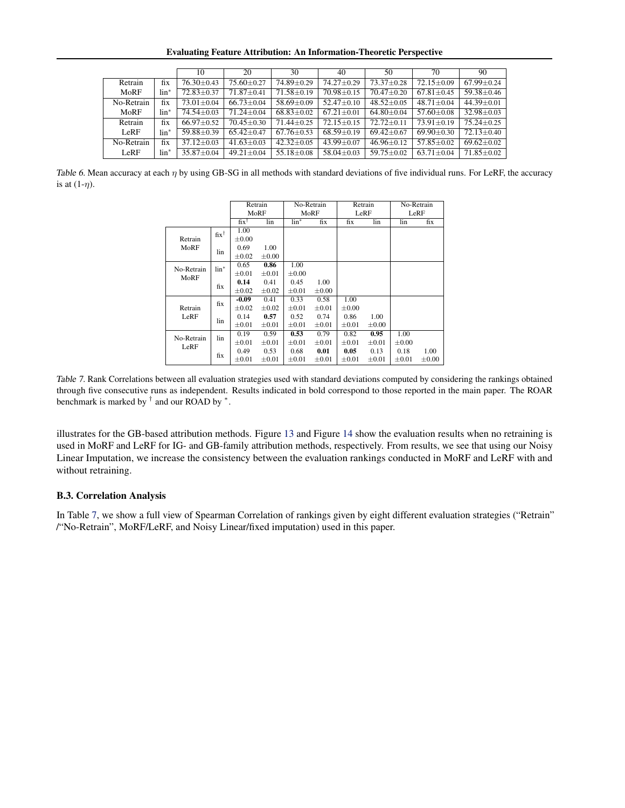Evaluating Feature Attribution: An Information-Theoretic Perspective

<span id="page-15-0"></span>

|            |                     | 10               | 20               | 30               | 40               | 50               | 70               | 90               |
|------------|---------------------|------------------|------------------|------------------|------------------|------------------|------------------|------------------|
| Retrain    | fix                 | $76.30 \pm 0.43$ | $75.60 \pm 0.27$ | 74.89±0.29       | $74.27 \pm 0.29$ | $73.37 \pm 0.28$ | $72.15 \pm 0.09$ | $67.99 \pm 0.24$ |
| MoRF       | $\lim$ <sup>*</sup> | 72.83±0.37       | $71.87 + 0.41$   | $71.58 + 0.19$   | $70.98 \pm 0.15$ | $70.47 \pm 0.20$ | $67.81 \pm 0.45$ | $59.38 \pm 0.46$ |
| No-Retrain | fix                 | $73.01 \pm 0.04$ | $66.73 \pm 0.04$ | $58.69 \pm 0.09$ | $52.47 \pm 0.10$ | $48.52+0.05$     | $48.71 + 0.04$   | $44.39 \pm 0.01$ |
| MoRF       | $\lim$ <sup>*</sup> | $74.54 \pm 0.03$ | $71.24 + 0.04$   | $68.83 \pm 0.02$ | $67.21 \pm 0.01$ | $64.80 \pm 0.04$ | $57.60 \pm 0.08$ | $32.98 \pm 0.03$ |
| Retrain    | fix                 | $66.97 \pm 0.52$ | $70.45 \pm 0.30$ | $71.44 + 0.25$   | $72.15 \pm 0.15$ | $72.72 + 0.11$   | $73.91 + 0.19$   | $75.24 \pm 0.25$ |
| LeRF       | $\lim$ <sup>*</sup> | $59.88 \pm 0.39$ | $65.42 \pm 0.47$ | $67.76 \pm 0.53$ | $68.59 \pm 0.19$ | $69.42 \pm 0.67$ | $69.90 \pm 0.30$ | $72.13 \pm 0.40$ |
| No-Retrain | fix                 | $37.12 \pm 0.03$ | $41.63 \pm 0.03$ | $42.32 + 0.05$   | $43.99 \pm 0.07$ | $46.96 \pm 0.12$ | $57.85 + 0.02$   | $69.62 \pm 0.02$ |
| LeRF       | $\lim$ <sup>*</sup> | $35.87 + 0.04$   | $49.21 + 0.04$   | $55.18 + 0.08$   | $58.04 + 0.03$   | $59.75 + 0.02$   | $63.71 + 0.04$   | $71.85 \pm 0.02$ |

<span id="page-15-1"></span>Table 6. Mean accuracy at each  $\eta$  by using GB-SG in all methods with standard deviations of five individual runs. For LeRF, the accuracy is at  $(1-\eta)$ .

|                    |                     | Retrain         |            |                     | $\overline{No}$ -Retrain |            | Retrain    |            | No-Retrain |  |
|--------------------|---------------------|-----------------|------------|---------------------|--------------------------|------------|------------|------------|------------|--|
|                    |                     | MoRF            |            | MoRF                |                          | LeRF       |            | LeRF       |            |  |
|                    |                     | $fix^{\dagger}$ | lin        | $\lim$ <sup>*</sup> | fix                      | fix        | lin        | lin        | fix        |  |
|                    | $fix^{\dagger}$     | 1.00            |            |                     |                          |            |            |            |            |  |
| Retrain            |                     | $\pm 0.00$      |            |                     |                          |            |            |            |            |  |
| MoRF               | lin                 | 0.69            | 1.00       |                     |                          |            |            |            |            |  |
|                    |                     | $\pm 0.02$      | $\pm 0.00$ |                     |                          |            |            |            |            |  |
| No-Retrain         | $\lim$ <sup>*</sup> | 0.65            | 0.86       | 1.00                |                          |            |            |            |            |  |
| MoRF               |                     | $\pm 0.01$      | $\pm 0.01$ | $\pm 0.00$          |                          |            |            |            |            |  |
|                    | fix                 | 0.14            | 0.41       | 0.45                | 1.00                     |            |            |            |            |  |
|                    |                     | $\pm 0.02$      | $\pm 0.02$ | $\pm 0.01$          | $\pm 0.00$               |            |            |            |            |  |
|                    | fix                 | $-0.09$         | 0.41       | 0.33                | 0.58                     | 1.00       |            |            |            |  |
| Retrain            |                     | $\pm 0.02$      | $\pm 0.02$ | $\pm 0.01$          | $\pm 0.01$               | $\pm 0.00$ |            |            |            |  |
| LeRF               | lin                 | 0.14            | 0.57       | 0.52                | 0.74                     | 0.86       | 1.00       |            |            |  |
|                    |                     | $\pm 0.01$      | $\pm 0.01$ | $\pm 0.01$          | $\pm 0.01$               | $\pm 0.01$ | $\pm 0.00$ |            |            |  |
| No-Retrain<br>LeRF | lin                 | 0.19            | 0.59       | 0.53                | 0.79                     | 0.82       | 0.95       | 1.00       |            |  |
|                    |                     | $\pm 0.01$      | $\pm 0.01$ | $\pm 0.01$          | $\pm 0.01$               | $\pm 0.01$ | $\pm 0.01$ | $\pm 0.00$ |            |  |
|                    | fix                 | 0.49            | 0.53       | 0.68                | 0.01                     | 0.05       | 0.13       | 0.18       | 1.00       |  |
|                    |                     | $\pm 0.01$      | $\pm 0.01$ | $\pm 0.01$          | $\pm 0.01$               | $\pm 0.01$ | $\pm 0.01$ | $\pm 0.01$ | $\pm 0.00$ |  |

Table 7. Rank Correlations between all evaluation strategies used with standard deviations computed by considering the rankings obtained through five consecutive runs as independent. Results indicated in bold correspond to those reported in the main paper. The ROAR benchmark is marked by  $^{\dagger}$  and our ROAD by  $^*$ .

illustrates for the GB-based attribution methods. Figure [13](#page-17-0) and Figure [14](#page-17-1) show the evaluation results when no retraining is used in MoRF and LeRF for IG- and GB-family attribution methods, respectively. From results, we see that using our Noisy Linear Imputation, we increase the consistency between the evaluation rankings conducted in MoRF and LeRF with and without retraining.

#### B.3. Correlation Analysis

In Table [7,](#page-15-1) we show a full view of Spearman Correlation of rankings given by eight different evaluation strategies ("Retrain" /"No-Retrain", MoRF/LeRF, and Noisy Linear/fixed imputation) used in this paper.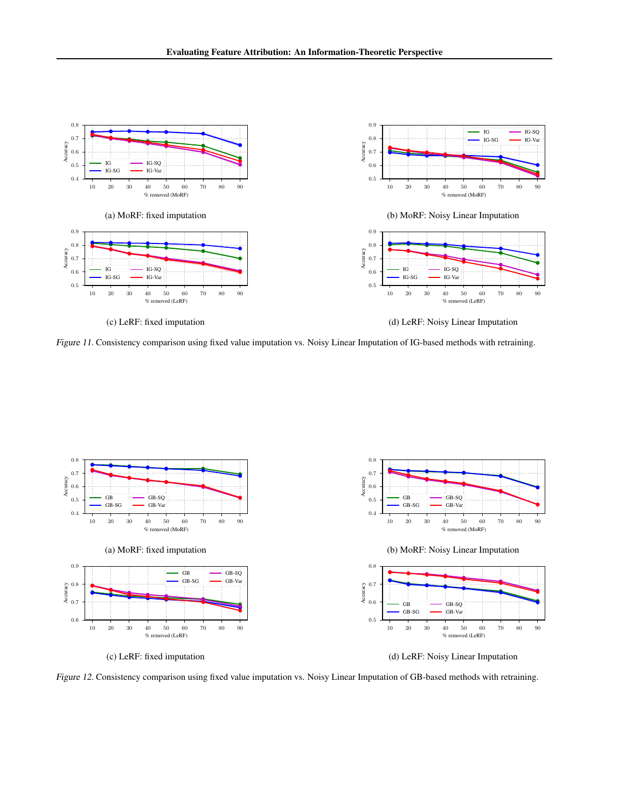

(c) LeRF: fixed imputation

(d) LeRF: Noisy Linear Imputation

Figure 11. Consistency comparison using fixed value imputation vs. Noisy Linear Imputation of IG-based methods with retraining.

<span id="page-16-0"></span>

Figure 12. Consistency comparison using fixed value imputation vs. Noisy Linear Imputation of GB-based methods with retraining.